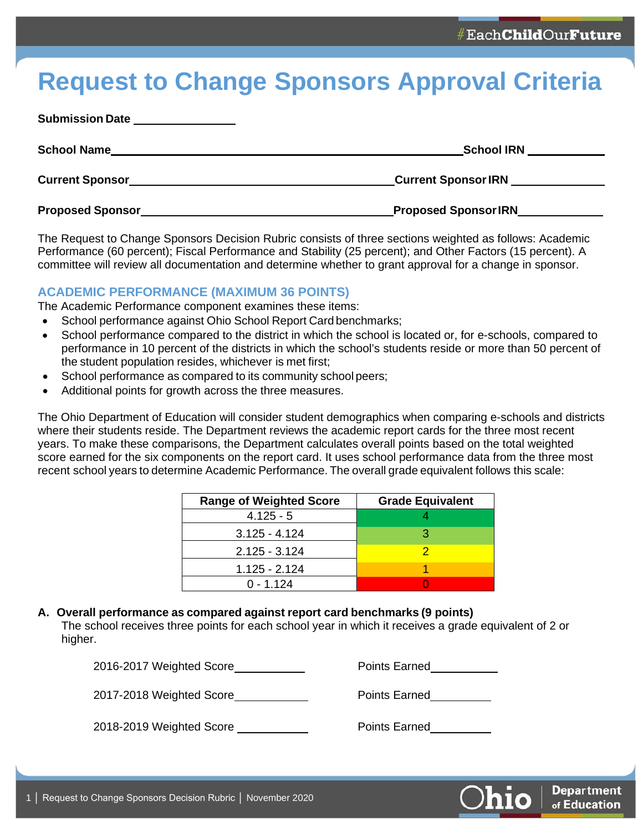# **Request to Change Sponsors Approval Criteria**

| <b>Submission Date</b>                                                                                                                       |                                    |
|----------------------------------------------------------------------------------------------------------------------------------------------|------------------------------------|
| <b>School Name</b><br><u> 1999 - Johann John Stoff, deutscher Stoffen und der Stoffen und der Stoffen und der Stoffen und der Stoffen un</u> | <b>School IRN</b>                  |
|                                                                                                                                              | Current Sponsor IRN ______________ |
| <b>Proposed Sponsor</b>                                                                                                                      | Proposed Sponsor IRN__________     |

The Request to Change Sponsors Decision Rubric consists of three sections weighted as follows: Academic Performance (60 percent); Fiscal Performance and Stability (25 percent); and Other Factors (15 percent). A committee will review all documentation and determine whether to grant approval for a change in sponsor.

# **ACADEMIC PERFORMANCE (MAXIMUM 36 POINTS)**

The Academic Performance component examines these items:

- School performance against Ohio School Report Card benchmarks;
- School performance compared to the district in which the school is located or, for e-schools, compared to performance in 10 percent of the districts in which the school's students reside or more than 50 percent of the student population resides, whichever is met first;
- School performance as compared to its community school peers;
- Additional points for growth across the three measures.

The Ohio Department of Education will consider student demographics when comparing e-schools and districts where their students reside. The Department reviews the academic report cards for the three most recent years. To make these comparisons, the Department calculates overall points based on the total weighted score earned for the six components on the report card. It uses school performance data from the three most recent school years to determine Academic Performance. The overall grade equivalent follows this scale:

| <b>Range of Weighted Score</b> | <b>Grade Equivalent</b> |  |  |
|--------------------------------|-------------------------|--|--|
| $4.125 - 5$                    |                         |  |  |
| $3.125 - 4.124$                | З                       |  |  |
| $2.125 - 3.124$                |                         |  |  |
| $1.125 - 2.124$                |                         |  |  |
| $0 - 1.124$                    |                         |  |  |

### **A. Overall performance as compared against report card benchmarks (9 points)**

The school receives three points for each school year in which it receives a grade equivalent of 2 or higher.

2016-2017 Weighted Score Points Earned

2017-2018 Weighted Score **Points Earned** 

2018-2019 Weighted Score **Points Earned** 

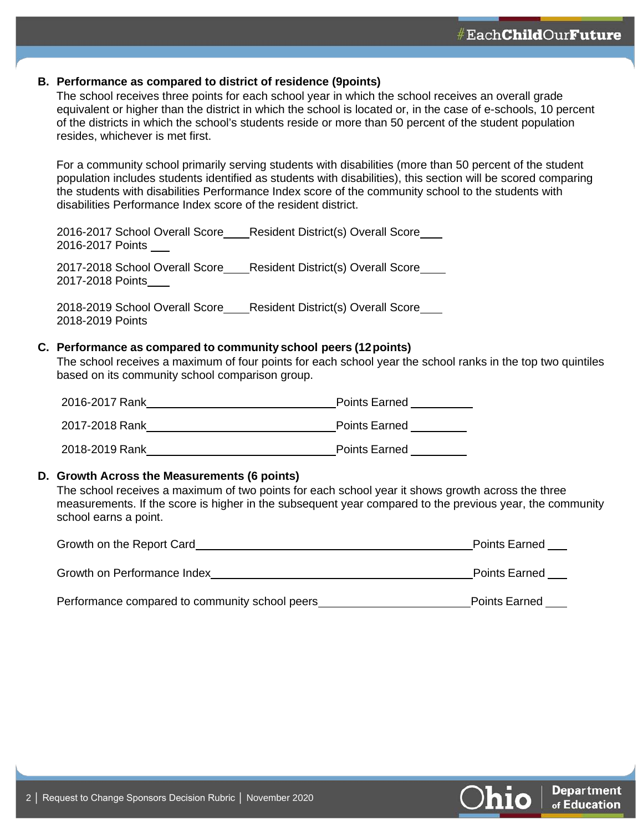### **B. Performance as compared to district of residence (9points)**

The school receives three points for each school year in which the school receives an overall grade equivalent or higher than the district in which the school is located or, in the case of e-schools, 10 percent of the districts in which the school's students reside or more than 50 percent of the student population resides, whichever is met first.

For a community school primarily serving students with disabilities (more than 50 percent of the student population includes students identified as students with disabilities), this section will be scored comparing the students with disabilities Performance Index score of the community school to the students with disabilities Performance Index score of the resident district.

2016-2017 School Overall Score Resident District(s) Overall Score 2016-2017 Points

2017-2018 School Overall Score Resident District(s) Overall Score 2017-2018 Points

2018-2019 School Overall Score Resident District(s) Overall Score 2018-2019 Points

### **C. Performance as compared to community school peers (12points)**

The school receives a maximum of four points for each school year the school ranks in the top two quintiles based on its community school comparison group.

| 2016-2017 Rank | <b>Points Earned</b> |
|----------------|----------------------|
| 2017-2018 Rank | <b>Points Earned</b> |
| 2018-2019 Rank | <b>Points Earned</b> |

#### **D. Growth Across the Measurements (6 points)**

The school receives a maximum of two points for each school year it shows growth across the three measurements. If the score is higher in the subsequent year compared to the previous year, the community school earns a point.

| Growth on the Report Card   | <b>Points Earned</b> |
|-----------------------------|----------------------|
| Growth on Performance Index | <b>Points Earned</b> |

Performance compared to community school peers example and a point Points Earned

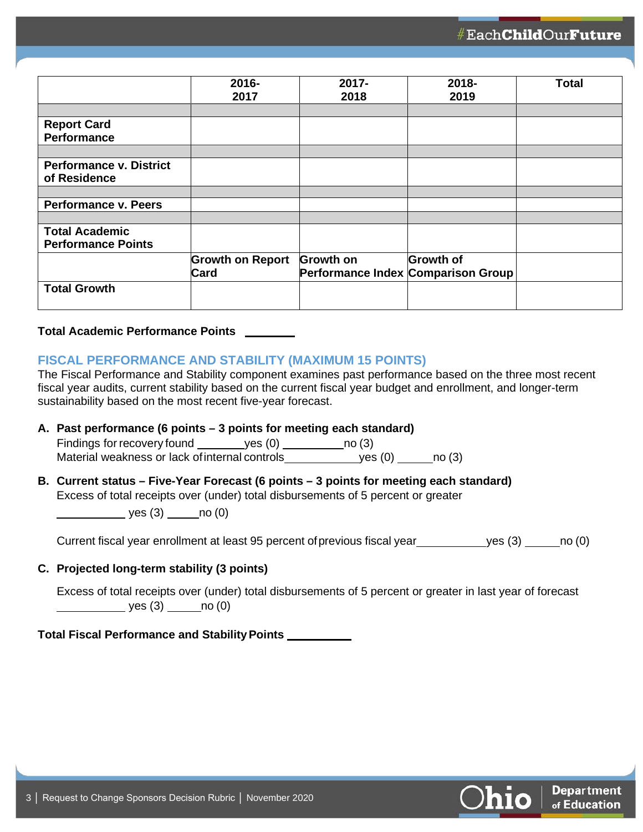|                                | 2016-<br>2017           | 2017-<br>2018 | 2018-<br>2019                      | <b>Total</b> |
|--------------------------------|-------------------------|---------------|------------------------------------|--------------|
|                                |                         |               |                                    |              |
| <b>Report Card</b>             |                         |               |                                    |              |
| <b>Performance</b>             |                         |               |                                    |              |
|                                |                         |               |                                    |              |
| <b>Performance v. District</b> |                         |               |                                    |              |
| of Residence                   |                         |               |                                    |              |
|                                |                         |               |                                    |              |
| <b>Performance v. Peers</b>    |                         |               |                                    |              |
|                                |                         |               |                                    |              |
| <b>Total Academic</b>          |                         |               |                                    |              |
| <b>Performance Points</b>      |                         |               |                                    |              |
|                                | <b>Growth on Report</b> | Growth on     | <b>Growth of</b>                   |              |
|                                | <b>Card</b>             |               | Performance Index Comparison Group |              |
| <b>Total Growth</b>            |                         |               |                                    |              |
|                                |                         |               |                                    |              |

#### **Total Academic Performance Points**

### **FISCAL PERFORMANCE AND STABILITY (MAXIMUM 15 POINTS)**

The Fiscal Performance and Stability component examines past performance based on the three most recent fiscal year audits, current stability based on the current fiscal year budget and enrollment, and longer-term sustainability based on the most recent five-year forecast.

### **A. Past performance (6 points – 3 points for meeting each standard)**

Findings for recovery found  $y$ es (0) no (3) [3] Material weakness or lack ofinternal controls yes (0) no (3)

# **B. Current status – Five-Year Forecast (6 points – 3 points for meeting each standard)** Excess of total receipts over (under) total disbursements of 5 percent or greater

 $\rule{1em}{0.15mm}$  yes (3)  $\rule{1em}{0.15mm}$  no (0)

Current fiscal year enrollment at least 95 percent of previous fiscal year yes (3) \_\_\_\_\_\_ no (0)

### **C. Projected long-term stability (3 points)**

Excess of total receipts over (under) total disbursements of 5 percent or greater in last year of forecast  $yes (3)$  no  $(0)$ 

**Total Fiscal Performance and StabilityPoints**

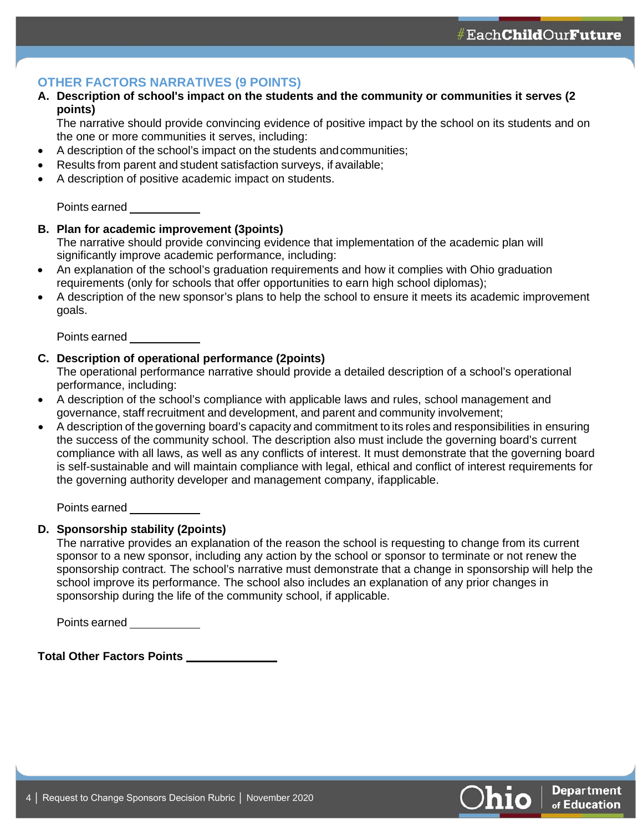#Each**Child**Our**Future** 

# **OTHER FACTORS NARRATIVES (9 POINTS)**

### **A. Description of school's impact on the students and the community or communities it serves (2 points)**

The narrative should provide convincing evidence of positive impact by the school on its students and on the one or more communities it serves, including:

- A description of the school's impact on the students andcommunities;
- Results from parent and student satisfaction surveys, if available;
- A description of positive academic impact on students.

Points earned

### **B. Plan for academic improvement (3points)**

The narrative should provide convincing evidence that implementation of the academic plan will significantly improve academic performance, including:

- An explanation of the school's graduation requirements and how it complies with Ohio graduation requirements (only for schools that offer opportunities to earn high school diplomas);
- A description of the new sponsor's plans to help the school to ensure it meets its academic improvement goals.

Points earned

### **C. Description of operational performance (2points)**

The operational performance narrative should provide a detailed description of a school's operational performance, including:

- A description of the school's compliance with applicable laws and rules, school management and governance, staff recruitment and development, and parent and community involvement;
- A description of the governing board's capacity and commitment to its roles and responsibilities in ensuring the success of the community school. The description also must include the governing board's current compliance with all laws, as well as any conflicts of interest. It must demonstrate that the governing board is self-sustainable and will maintain compliance with legal, ethical and conflict of interest requirements for the governing authority developer and management company, ifapplicable.

Points earned

### **D. Sponsorship stability (2points)**

The narrative provides an explanation of the reason the school is requesting to change from its current sponsor to a new sponsor, including any action by the school or sponsor to terminate or not renew the sponsorship contract. The school's narrative must demonstrate that a change in sponsorship will help the school improve its performance. The school also includes an explanation of any prior changes in sponsorship during the life of the community school, if applicable.

Points earned

**Total Other Factors Points**